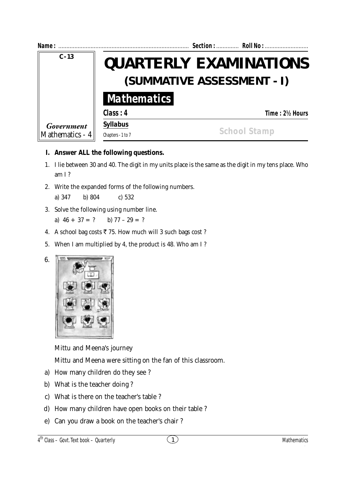| Name:                         |                                                             | Section:  Roll No : |  |
|-------------------------------|-------------------------------------------------------------|---------------------|--|
| $C - 13$                      | <b>QUARTERLY EXAMINATIONS</b><br>(SUMMATIVE ASSESSMENT - I) |                     |  |
|                               | <b>Mathematics</b>                                          |                     |  |
|                               | Class: 4                                                    | Time: 2½ Hours      |  |
| Government<br>Mathematics - 4 | <b>Syllabus</b>                                             |                     |  |
|                               | Chapters - 1 to 7                                           | <b>School Stamp</b> |  |

## **I. Answer ALL the following questions.**

- 1. I lie between 30 and 40. The digit in my units place is the same as the digit in my tens place. Who am I ?
- 2. Write the expanded forms of the following numbers.

a) 347 b) 804 c) 532

3. Solve the following using number line.

a)  $46 + 37 = ?$  b)  $77 - 29 = ?$ 

- 4. A school bag costs  $\overline{\xi}$  75. How much will 3 such bags cost ?
- 5. When I am multiplied by 4, the product is 48. Who am I ?



6.

Mittu and Meena's journey

Mittu and Meena were sitting on the fan of this classroom.

- a) How many children do they see ?
- b) What is the teacher doing ?
- c) What is there on the teacher's table ?
- d) How many children have open books on their table ?
- e) Can you draw a book on the teacher's chair ?

4 th Class – Govt. Text book – **Quarterly**